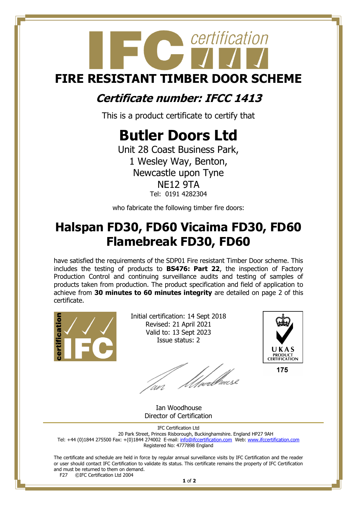## certification **FIRE RESISTANT TIMBER DOOR SCHEME**

#### **Certificate number: IFCC 1413**

This is a product certificate to certify that

### **Butler Doors Ltd**

Unit 28 Coast Business Park, 1 Wesley Way, Benton, Newcastle upon Tyne NE12 9TA Tel: 0191 4282304

who fabricate the following timber fire doors:

#### **Halspan FD30, FD60 Vicaima FD30, FD60 Flamebreak FD30, FD60**

have satisfied the requirements of the SDP01 Fire resistant Timber Door scheme. This includes the testing of products to **BS476: Part 22**, the inspection of Factory Production Control and continuing surveillance audits and testing of samples of products taken from production. The product specification and field of application to achieve from **30 minutes to 60 minutes integrity** are detailed on page 2 of this certificate.



Initial certification: 14 Sept 2018 Revised: 21 April 2021 Valid to: 13 Sept 2023 Issue status: 2

fyddiaise



 Ian Woodhouse Director of Certification

IFC Certification Ltd 20 Park Street, Princes Risborough, Buckinghamshire. England HP27 9AH Tel: +44 (0)1844 275500 Fax: +(0)1844 274002 E-mail[: info@ifccertification.com](mailto:info@ifccertification.com) Web: [www.ifccertification.com](http://www.ifccertification.com/) Registered No: 4777898 England

The certificate and schedule are held in force by regular annual surveillance visits by IFC Certification and the reader or user should contact IFC Certification to validate its status. This certificate remains the property of IFC Certification and must be returned to them on demand.<br>F27  $\odot$  FC Certification Ltd 2004

©IFC Certification Ltd 2004